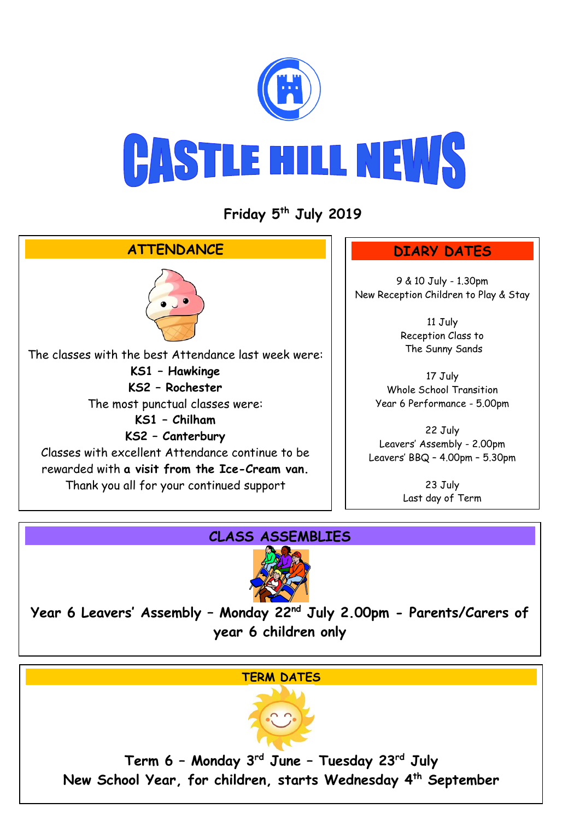

## **CASTLE HILL NEWS**

**Friday 5 th July 2019**



## **CLASS ASSEMBLIES**



**Year 6 Leavers' Assembly – Monday 22 nd July 2.00pm - Parents/Carers of year 6 children only**

## **TERM DATES**



**Term 6 – Monday 3rd June – Tuesday 23rd July New School Year, for children, starts Wednesday 4th September**